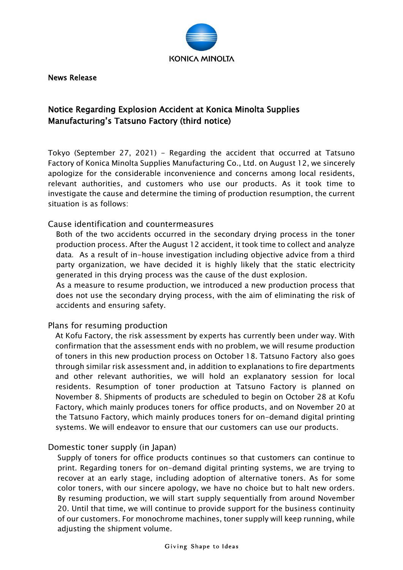

News Release

## Notice Regarding Explosion Accident at Konica Minolta Supplies Manufacturing's Tatsuno Factory (third notice)

Tokyo (September 27, 2021) - Regarding the accident that occurred at Tatsuno Factory of Konica Minolta Supplies Manufacturing Co., Ltd. on August 12, we sincerely apologize for the considerable inconvenience and concerns among local residents, relevant authorities, and customers who use our products. As it took time to investigate the cause and determine the timing of production resumption, the current situation is as follows:

## Cause identification and countermeasures

Both of the two accidents occurred in the secondary drying process in the toner production process. After the August 12 accident, it took time to collect and analyze data. As a result of in-house investigation including objective advice from a third party organization, we have decided it is highly likely that the static electricity generated in this drying process was the cause of the dust explosion.

As a measure to resume production, we introduced a new production process that does not use the secondary drying process, with the aim of eliminating the risk of accidents and ensuring safety.

## Plans for resuming production

At Kofu Factory, the risk assessment by experts has currently been under way. With confirmation that the assessment ends with no problem, we will resume production of toners in this new production process on October 18. Tatsuno Factory also goes through similar risk assessment and, in addition to explanations to fire departments and other relevant authorities, we will hold an explanatory session for local residents. Resumption of toner production at Tatsuno Factory is planned on November 8. Shipments of products are scheduled to begin on October 28 at Kofu Factory, which mainly produces toners for office products, and on November 20 at the Tatsuno Factory, which mainly produces toners for on-demand digital printing systems. We will endeavor to ensure that our customers can use our products.

## Domestic toner supply (in Japan)

Supply of toners for office products continues so that customers can continue to print. Regarding toners for on-demand digital printing systems, we are trying to recover at an early stage, including adoption of alternative toners. As for some color toners, with our sincere apology, we have no choice but to halt new orders. By resuming production, we will start supply sequentially from around November 20. Until that time, we will continue to provide support for the business continuity of our customers. For monochrome machines, toner supply will keep running, while adjusting the shipment volume.